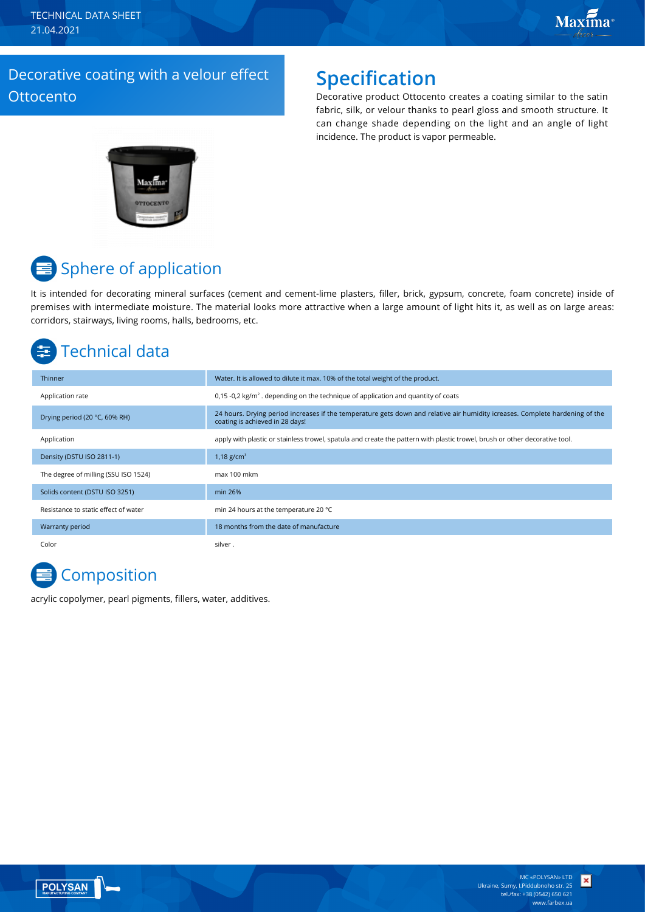TECHNICAL DATA SHEET 21.04.2021

### Decorative coating with a velour effect **Ottocento**

## **Specification**

Decorative product Ottocento creates a coating similar to the satin fabric, silk, or velour thanks to pearl gloss and smooth structure. It can change shade depending on the light and an angle of light incidence. The product is vapor permeable.



# Sphere of application

It is intended for decorating mineral surfaces (cement and cement-lime plasters, filler, brick, gypsum, concrete, foam concrete) inside of premises with intermediate moisture. The material looks more attractive when a large amount of light hits it, as well as on large areas: corridors, stairways, living rooms, halls, bedrooms, etc.

# Technical data

| Thinner                              | Water. It is allowed to dilute it max. 10% of the total weight of the product.                                                                                  |
|--------------------------------------|-----------------------------------------------------------------------------------------------------------------------------------------------------------------|
| Application rate                     | 0.15 -0.2 kg/ $m^2$ . depending on the technique of application and quantity of coats                                                                           |
| Drying period (20 °C, 60% RH)        | 24 hours. Drying period increases if the temperature gets down and relative air humidity icreases. Complete hardening of the<br>coating is achieved in 28 days! |
| Application                          | apply with plastic or stainless trowel, spatula and create the pattern with plastic trowel, brush or other decorative tool.                                     |
| Density (DSTU ISO 2811-1)            | 1,18 $g/cm^{3}$                                                                                                                                                 |
| The degree of milling (SSU ISO 1524) | max 100 mkm                                                                                                                                                     |
| Solids content (DSTU ISO 3251)       | min 26%                                                                                                                                                         |
| Resistance to static effect of water | min 24 hours at the temperature 20 °C                                                                                                                           |
| Warranty period                      | 18 months from the date of manufacture                                                                                                                          |
| Color                                | silver.                                                                                                                                                         |

# **Composition**

acrylic copolymer, pearl pigments, fillers, water, additives.



×